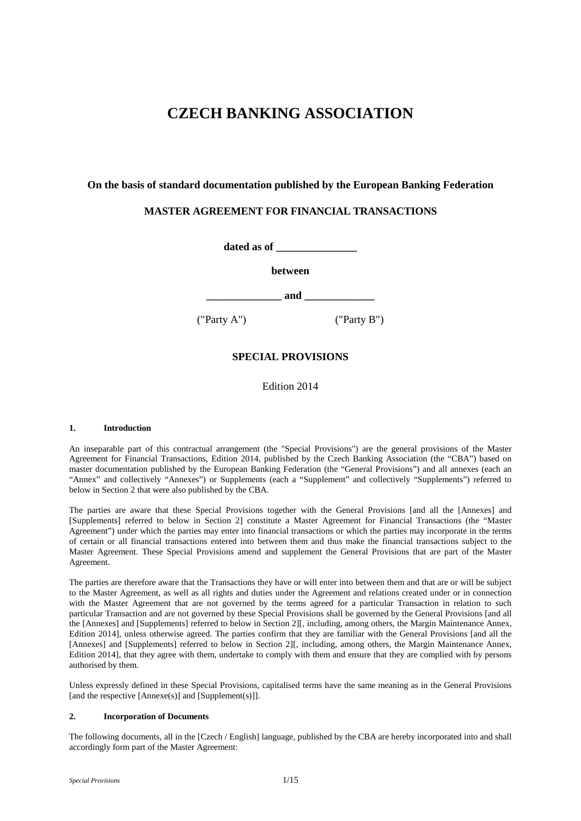# **CZECH BANKING ASSOCIATION**

# **On the basis of standard documentation published by the European Banking Federation**

# **MASTER AGREEMENT FOR FINANCIAL TRANSACTIONS**

**dated as of \_\_\_\_\_\_\_\_\_\_\_\_\_\_\_**

**between**

 $\mathbf{and}$   $\mathbf{a}$ 

("Party A") ("Party B")

# **SPECIAL PROVISIONS**

Edition 2014

# **1. Introduction**

An inseparable part of this contractual arrangement (the "Special Provisions") are the general provisions of the Master Agreement for Financial Transactions, Edition 2014, published by the Czech Banking Association (the "CBA") based on master documentation published by the European Banking Federation (the "General Provisions") and all annexes (each an "Annex" and collectively "Annexes") or Supplements (each a "Supplement" and collectively "Supplements") referred to below in Section 2 that were also published by the CBA.

The parties are aware that these Special Provisions together with the General Provisions [and all the [Annexes] and [Supplements] referred to below in Section 2] constitute a Master Agreement for Financial Transactions (the "Master Agreement") under which the parties may enter into financial transactions or which the parties may incorporate in the terms of certain or all financial transactions entered into between them and thus make the financial transactions subject to the Master Agreement. These Special Provisions amend and supplement the General Provisions that are part of the Master Agreement.

The parties are therefore aware that the Transactions they have or will enter into between them and that are or will be subject to the Master Agreement, as well as all rights and duties under the Agreement and relations created under or in connection with the Master Agreement that are not governed by the terms agreed for a particular Transaction in relation to such particular Transaction and are not governed by these Special Provisions shall be governed by the General Provisions [and all the [Annexes] and [Supplements] referred to below in Section 2][, including, among others, the Margin Maintenance Annex, Edition 2014], unless otherwise agreed. The parties confirm that they are familiar with the General Provisions [and all the [Annexes] and [Supplements] referred to below in Section 2][, including, among others, the Margin Maintenance Annex, Edition 2014], that they agree with them, undertake to comply with them and ensure that they are complied with by persons authorised by them.

Unless expressly defined in these Special Provisions, capitalised terms have the same meaning as in the General Provisions [and the respective [Annexe(s)] and [Supplement(s)]].

# **2. Incorporation of Documents**

The following documents, all in the [Czech / English] language, published by the CBA are hereby incorporated into and shall accordingly form part of the Master Agreement: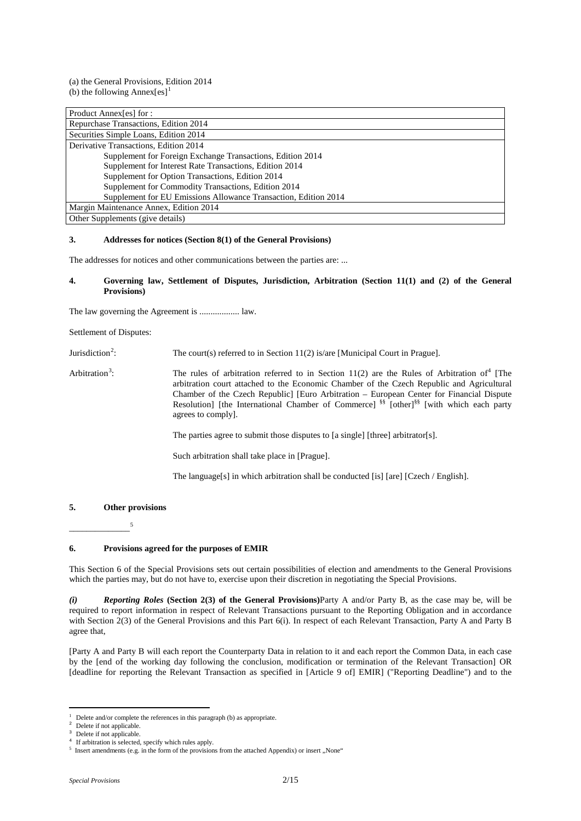(a) the General Provisions, Edition 2014 (b) the following Annex $[es]$ <sup>[1](#page-1-0)</sup>

| Product Annex[es] for :                                         |
|-----------------------------------------------------------------|
| Repurchase Transactions, Edition 2014                           |
| Securities Simple Loans, Edition 2014                           |
| Derivative Transactions, Edition 2014                           |
| Supplement for Foreign Exchange Transactions, Edition 2014      |
| Supplement for Interest Rate Transactions, Edition 2014         |
| Supplement for Option Transactions, Edition 2014                |
| Supplement for Commodity Transactions, Edition 2014             |
| Supplement for EU Emissions Allowance Transaction, Edition 2014 |
| Margin Maintenance Annex, Edition 2014                          |
| Other Supplements (give details)                                |

### **3. Addresses for notices (Section 8(1) of the General Provisions)**

The addresses for notices and other communications between the parties are: ...

### **4. Governing law, Settlement of Disputes, Jurisdiction, Arbitration (Section 11(1) and (2) of the General Provisions)**

The law governing the Agreement is .................. law.

Settlement of Disputes:

Jurisdiction<sup>[2](#page-1-1)</sup>: : The court(s) referred to in Section 11(2) is/are [Municipal Court in Prague].

Arbitration<sup>[3](#page-1-2)</sup>: The rules of arbitration referred to in Section 11(2) are the Rules of Arbitration of<sup>[4](#page-1-3)</sup> [The arbitration court attached to the Economic Chamber of the Czech Republic and Agricultural Chamber of the Czech Republic] [Euro Arbitration – European Center for Financial Dispute Resolution] [the International Chamber of Commerce]  $\frac{\$}{}$  [other]<sup>§§</sup> [with which each party agrees to comply].

The parties agree to submit those disputes to [a single] [three] arbitrator[s].

Such arbitration shall take place in [Prague].

The language[s] in which arbitration shall be conducted [is] [are] [Czech / English].

# **5. Other provisions**

\_\_\_\_\_\_\_\_\_\_\_\_\_\_[5](#page-1-4)

### **6. Provisions agreed for the purposes of EMIR**

This Section 6 of the Special Provisions sets out certain possibilities of election and amendments to the General Provisions which the parties may, but do not have to, exercise upon their discretion in negotiating the Special Provisions.

*(i) Reporting Roles* **(Section 2(3) of the General Provisions)**Party A and/or Party B, as the case may be, will be required to report information in respect of Relevant Transactions pursuant to the Reporting Obligation and in accordance with Section 2(3) of the General Provisions and this Part 6(i). In respect of each Relevant Transaction, Party A and Party B agree that,

[Party A and Party B will each report the Counterparty Data in relation to it and each report the Common Data, in each case by the [end of the working day following the conclusion, modification or termination of the Relevant Transaction] OR [deadline for reporting the Relevant Transaction as specified in [Article 9 of] EMIR] ("Reporting Deadline") and to the

<span id="page-1-0"></span><sup>1</sup> Delete and/or complete the references in this paragraph (b) as appropriate.  $\overline{\phantom{0}}$ 

Delete if not applicable.

<span id="page-1-1"></span>Delete if not applicable.

<span id="page-1-3"></span><span id="page-1-2"></span>If arbitration is selected, specify which rules apply.

<span id="page-1-4"></span><sup>&</sup>lt;sup>5</sup> Insert amendments (e.g. in the form of the provisions from the attached Appendix) or insert "None"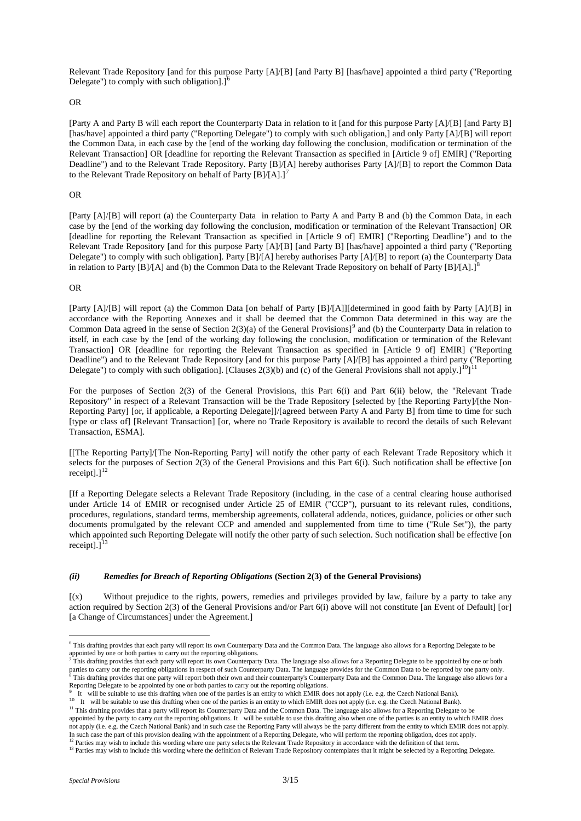Relevant Trade Repository [and for this purpose Party [A]/[B] [and Party B] [has/have] appointed a third party ("Reporting Delegate") to comply with such obligation].] $<sup>6</sup>$  $<sup>6</sup>$  $<sup>6</sup>$ </sup>

### OR

[Party A and Party B will each report the Counterparty Data in relation to it [and for this purpose Party [A]/[B] [and Party B] [has/have] appointed a third party ("Reporting Delegate") to comply with such obligation,] and only Party [A]/[B] will report the Common Data, in each case by the [end of the working day following the conclusion, modification or termination of the Relevant Transaction] OR [deadline for reporting the Relevant Transaction as specified in [Article 9 of] EMIR] ("Reporting Deadline") and to the Relevant Trade Repository. Party [B]/[A] hereby authorises Party [A]/[B] to report the Common Data to the Relevant Trade Repository on behalf of Party  $[B]/[A].$ <sup>[7](#page-2-1)</sup>

#### OR

[Party [A]/[B] will report (a) the Counterparty Data in relation to Party A and Party B and (b) the Common Data, in each case by the [end of the working day following the conclusion, modification or termination of the Relevant Transaction] OR [deadline for reporting the Relevant Transaction as specified in [Article 9 of] EMIR] ("Reporting Deadline") and to the Relevant Trade Repository [and for this purpose Party [A]/[B] [and Party B] [has/have] appointed a third party ("Reporting Delegate") to comply with such obligation]. Party  $[B]/[A]$  hereby authorises Party  $[A]/[B]$  to report (a) the Counterparty Data in relation to Party [B]/[A] and (b) the Common Data to the Relevant Trade Repository on behalf of Party [B]/[A].]<sup>[8](#page-2-2)</sup>

### OR

[Party [A]/[B] will report (a) the Common Data [on behalf of Party [B]/[A]][determined in good faith by Party [A]/[B] in accordance with the Reporting Annexes and it shall be deemed that the Common Data determined in this way are the Common Data agreed in the sense of Section  $2(3)(a)$  of the General Provisions]<sup>[9](#page-2-3)</sup> and (b) the Counterparty Data in relation to itself, in each case by the [end of the working day following the conclusion, modification or termination of the Relevant Transaction] OR [deadline for reporting the Relevant Transaction as specified in [Article 9 of] EMIR] ("Reporting Deadline") and to the Relevant Trade Repository [and for this purpose Party [A]/[B] has appointed a third party ("Reporting Delegate") to comply with such obligation]. [Clauses  $2(3)(b)$  and (c) of the General Provisions shall not apply.]<sup>10</sup>]<sup>[11](#page-2-5)</sup>

For the purposes of Section 2(3) of the General Provisions, this Part 6(i) and Part 6(ii) below, the "Relevant Trade Repository" in respect of a Relevant Transaction will be the Trade Repository [selected by [the Reporting Party]/[the Non-Reporting Party] [or, if applicable, a Reporting Delegate]]/[agreed between Party A and Party B] from time to time for such [type or class of] [Relevant Transaction] [or, where no Trade Repository is available to record the details of such Relevant Transaction, ESMA].

[[The Reporting Party]/[The Non-Reporting Party] will notify the other party of each Relevant Trade Repository which it selects for the purposes of Section 2(3) of the General Provisions and this Part 6(i). Such notification shall be effective [on receipt]. $]$ <sup>[12](#page-2-6)</sup>

[If a Reporting Delegate selects a Relevant Trade Repository (including, in the case of a central clearing house authorised under Article 14 of EMIR or recognised under Article 25 of EMIR ("CCP"), pursuant to its relevant rules, conditions, procedures, regulations, standard terms, membership agreements, collateral addenda, notices, guidance, policies or other such documents promulgated by the relevant CCP and amended and supplemented from time to time ("Rule Set")), the party which appointed such Reporting Delegate will notify the other party of such selection. Such notification shall be effective [on receipt].] $13$ 

### *(ii) Remedies for Breach of Reporting Obligations* **(Section 2(3) of the General Provisions)**

[(x) Without prejudice to the rights, powers, remedies and privileges provided by law, failure by a party to take any action required by Section 2(3) of the General Provisions and/or Part 6(i) above will not constitute [an Event of Default] [or] [a Change of Circumstances] under the Agreement.]

<span id="page-2-0"></span><sup>6</sup> This drafting provides that each party will report its own Counterparty Data and the Common Data. The language also allows for a Reporting Delegate to be appointed by one or both parties to carry out the reporting obligations.<br><sup>7</sup> This drafting provides that each party will report its own Counterparty Data. The language also allows for a Reporting Delegate to be appointed b

<span id="page-2-2"></span><span id="page-2-1"></span>parties to carry out the reporting obligations in respect of such Counterparty Data. The language provides for the Common Data to be reported by one party only.<br><sup>8</sup> This drafting provides that one party will report both th Reporting Delegate to be appointed by one or both parties to carry out the reporting obligations.

<span id="page-2-3"></span><sup>9</sup> It will be suitable to use this drafting when one of the parties is an entity to which EMIR does not apply (i.e. e.g. the Czech National Bank).

<span id="page-2-4"></span><sup>&</sup>lt;sup>10</sup> It will be suitable to use this drafting when one of the parties is an entity to which EMIR does not apply (i.e. e.g. the Czech National Bank).

<span id="page-2-5"></span><sup>&</sup>lt;sup>11</sup> This drafting provides that a party will report its Counterparty Data and the Common Data. The language also allows for a Reporting Delegate to be appointed by the party to carry out the reporting obligations. It will be suitable to use this drafting also when one of the parties is an entity to which EMIR does not apply (i.e. e.g. the Czech National Bank) and in such case the Reporting Party will always be the party different from the entity to which EMIR does not apply. In such case the part of this provision dealing with the appointment of a Reporting Delegate, who will perform the reporting obligation, does not apply.<br><sup>12</sup> Parties may wish to include this wording where one party select

<span id="page-2-7"></span><span id="page-2-6"></span><sup>&</sup>lt;sup>13</sup> Parties may wish to include this wording where the definition of Relevant Trade Repository contemplates that it might be selected by a Reporting Delegate.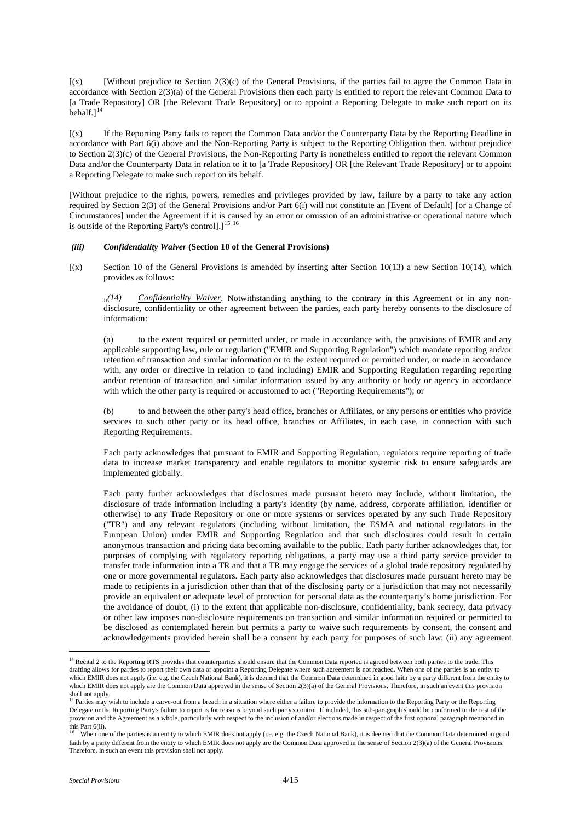$(x)$  [Without prejudice to Section 2(3)(c) of the General Provisions, if the parties fail to agree the Common Data in accordance with Section 2(3)(a) of the General Provisions then each party is entitled to report the relevant Common Data to [a Trade Repository] OR [the Relevant Trade Repository] or to appoint a Reporting Delegate to make such report on its behalf.<sup>[14](#page-3-0)</sup>

[(x) If the Reporting Party fails to report the Common Data and/or the Counterparty Data by the Reporting Deadline in accordance with Part 6(i) above and the Non-Reporting Party is subject to the Reporting Obligation then, without prejudice to Section 2(3)(c) of the General Provisions, the Non-Reporting Party is nonetheless entitled to report the relevant Common Data and/or the Counterparty Data in relation to it to [a Trade Repository] OR [the Relevant Trade Repository] or to appoint a Reporting Delegate to make such report on its behalf.

[Without prejudice to the rights, powers, remedies and privileges provided by law, failure by a party to take any action required by Section 2(3) of the General Provisions and/or Part 6(i) will not constitute an [Event of Default] [or a Change of Circumstances] under the Agreement if it is caused by an error or omission of an administrative or operational nature which is outside of the Reporting Party's control]. $]^{15}$  $]^{15}$  $]^{15}$ <sup>[16](#page-3-2)</sup>

# *(iii) Confidentiality Waiver* **(Section 10 of the General Provisions)**

 $[(x)$  Section 10 of the General Provisions is amended by inserting after Section 10(13) a new Section 10(14), which provides as follows:

"*(14) Confidentiality Waiver*. Notwithstanding anything to the contrary in this Agreement or in any nondisclosure, confidentiality or other agreement between the parties, each party hereby consents to the disclosure of information:

(a) to the extent required or permitted under, or made in accordance with, the provisions of EMIR and any applicable supporting law, rule or regulation ("EMIR and Supporting Regulation") which mandate reporting and/or retention of transaction and similar information or to the extent required or permitted under, or made in accordance with, any order or directive in relation to (and including) EMIR and Supporting Regulation regarding reporting and/or retention of transaction and similar information issued by any authority or body or agency in accordance with which the other party is required or accustomed to act ("Reporting Requirements"); or

(b) to and between the other party's head office, branches or Affiliates, or any persons or entities who provide services to such other party or its head office, branches or Affiliates, in each case, in connection with such Reporting Requirements.

Each party acknowledges that pursuant to EMIR and Supporting Regulation, regulators require reporting of trade data to increase market transparency and enable regulators to monitor systemic risk to ensure safeguards are implemented globally.

Each party further acknowledges that disclosures made pursuant hereto may include, without limitation, the disclosure of trade information including a party's identity (by name, address, corporate affiliation, identifier or otherwise) to any Trade Repository or one or more systems or services operated by any such Trade Repository ("TR") and any relevant regulators (including without limitation, the ESMA and national regulators in the European Union) under EMIR and Supporting Regulation and that such disclosures could result in certain anonymous transaction and pricing data becoming available to the public. Each party further acknowledges that, for purposes of complying with regulatory reporting obligations, a party may use a third party service provider to transfer trade information into a TR and that a TR may engage the services of a global trade repository regulated by one or more governmental regulators. Each party also acknowledges that disclosures made pursuant hereto may be made to recipients in a jurisdiction other than that of the disclosing party or a jurisdiction that may not necessarily provide an equivalent or adequate level of protection for personal data as the counterparty's home jurisdiction. For the avoidance of doubt, (i) to the extent that applicable non-disclosure, confidentiality, bank secrecy, data privacy or other law imposes non-disclosure requirements on transaction and similar information required or permitted to be disclosed as contemplated herein but permits a party to waive such requirements by consent, the consent and acknowledgements provided herein shall be a consent by each party for purposes of such law; (ii) any agreement

<span id="page-3-0"></span><sup>14</sup> Recital 2 to the Reporting RTS provides that counterparties should ensure that the Common Data reported is agreed between both parties to the trade. This drafting allows for parties to report their own data or appoint a Reporting Delegate where such agreement is not reached. When one of the parties is an entity to which EMIR does not apply (i.e. e.g. the Czech National Bank), it is deemed that the Common Data determined in good faith by a party different from the entity to which EMIR does not apply are the Common Data approved in the sense of Section 2(3)(a) of the General Provisions. Therefore, in such an event this provision shall not apply.

<span id="page-3-1"></span><sup>&</sup>lt;sup>5</sup> Parties may wish to include a carve-out from a breach in a situation where either a failure to provide the information to the Reporting Party or the Reporting Delegate or the Reporting Party's failure to report is for reasons beyond such party's control. If included, this sub-paragraph should be conformed to the rest of the provision and the Agreement as a whole, particularly with respect to the inclusion of and/or elections made in respect of the first optional paragraph mentioned in this Part 6(ii).

<span id="page-3-2"></span>When one of the parties is an entity to which EMIR does not apply (i.e. e.g. the Czech National Bank), it is deemed that the Common Data determined in good faith by a party different from the entity to which EMIR does not apply are the Common Data approved in the sense of Section 2(3)(a) of the General Provisions. Therefore, in such an event this provision shall not apply.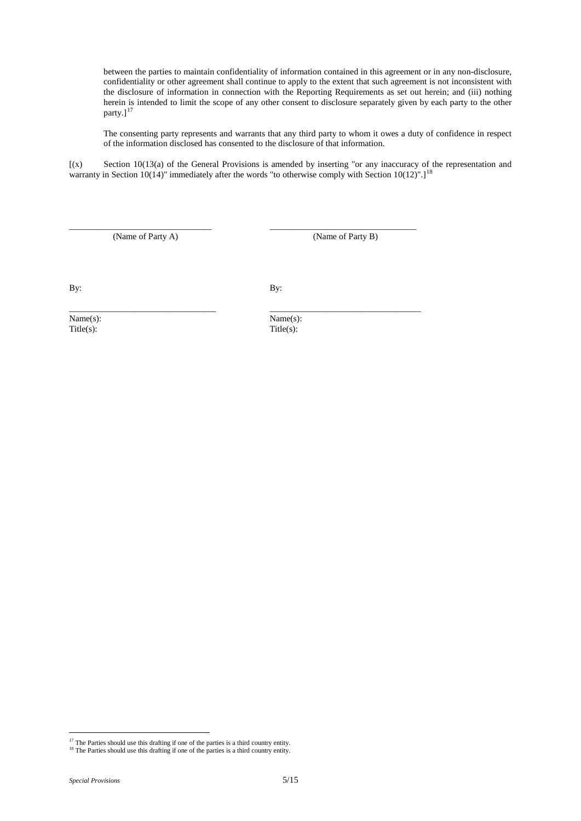between the parties to maintain confidentiality of information contained in this agreement or in any non-disclosure, confidentiality or other agreement shall continue to apply to the extent that such agreement is not inconsistent with the disclosure of information in connection with the Reporting Requirements as set out herein; and (iii) nothing herein is intended to limit the scope of any other consent to disclosure separately given by each party to the other party.]<sup>[17](#page-4-0)</sup>

The consenting party represents and warrants that any third party to whom it owes a duty of confidence in respect of the information disclosed has consented to the disclosure of that information.

[(x) Section 10(13(a) of the General Provisions is amended by inserting "or any inaccuracy of the representation and warranty in Section 10(14)" immediately after the words "to otherwise comply with Section 10(12)".]<sup>[18](#page-4-1)</sup>

\_\_\_\_\_\_\_\_\_\_\_\_\_\_\_\_\_\_\_\_\_\_\_\_\_\_\_\_\_\_\_\_ \_\_\_\_\_\_\_\_\_\_\_\_\_\_\_\_\_\_\_\_\_\_\_\_\_\_\_\_\_\_\_\_\_ (Name of Party A) (Name of Party B)

By: By:

\_\_\_\_\_\_\_\_\_\_\_\_\_\_\_\_\_\_\_\_\_\_\_\_\_\_\_\_\_\_\_\_\_ \_\_\_\_\_\_\_\_\_\_\_\_\_\_\_\_\_\_\_\_\_\_\_\_\_\_\_\_\_\_\_\_\_\_ Name(s): Name(s): Name(s): Name(s): Name(s): Name(s): Name(s): Name(s): Name(s): Name(s): Name(s): Name(s): Name(s): Name(s): Name(s): Name(s): Name(s): Name(s): Name(s): Name(s): Name(s): Name(s): Name(s): Name(s): Name(s

 $Title(s)$ :

 $\frac{17}{17}$  The Parties should use this drafting if one of the parties is a third country entity.

<span id="page-4-1"></span><span id="page-4-0"></span><sup>&</sup>lt;sup>18</sup> The Parties should use this drafting if one of the parties is a third country entity.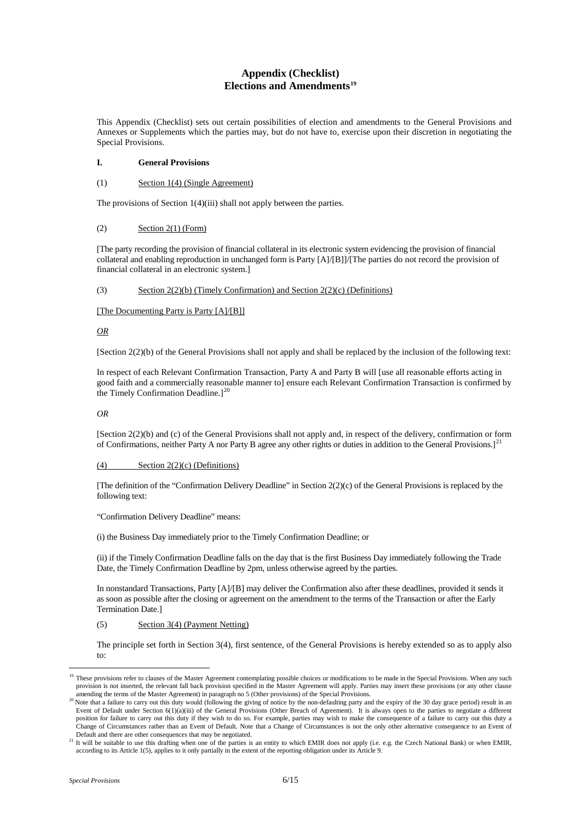# **Appendix (Checklist) Elections and Amendments[19](#page-5-0)**

This Appendix (Checklist) sets out certain possibilities of election and amendments to the General Provisions and Annexes or Supplements which the parties may, but do not have to, exercise upon their discretion in negotiating the Special Provisions.

# **I. General Provisions**

# (1) Section 1(4) (Single Agreement)

The provisions of Section 1(4)(iii) shall not apply between the parties.

# $\text{Section 2}(1)$  (Form)

[The party recording the provision of financial collateral in its electronic system evidencing the provision of financial collateral and enabling reproduction in unchanged form is Party [A]/[B]]/[The parties do not record the provision of financial collateral in an electronic system.]

(3) Section 2(2)(b) (Timely Confirmation) and Section 2(2)(c) (Definitions)

### [The Documenting Party is Party [A]/[B]]

*OR*

[Section 2(2)(b) of the General Provisions shall not apply and shall be replaced by the inclusion of the following text:

In respect of each Relevant Confirmation Transaction, Party A and Party B will [use all reasonable efforts acting in good faith and a commercially reasonable manner to] ensure each Relevant Confirmation Transaction is confirmed by the Timely Confirmation Deadline.]<sup>[20](#page-5-1)</sup>

*OR*

[Section 2(2)(b) and (c) of the General Provisions shall not apply and, in respect of the delivery, confirmation or form of Confirmations, neither Party A nor Party B agree any other rights or duties in addition to the General Provisions.]<sup>[21](#page-5-2)</sup>

### (4) Section 2(2)(c) (Definitions)

[The definition of the "Confirmation Delivery Deadline" in Section 2(2)(c) of the General Provisions is replaced by the following text:

"Confirmation Delivery Deadline" means:

(i) the Business Day immediately prior to the Timely Confirmation Deadline; or

(ii) if the Timely Confirmation Deadline falls on the day that is the first Business Day immediately following the Trade Date, the Timely Confirmation Deadline by 2pm, unless otherwise agreed by the parties.

In nonstandard Transactions, Party [A]/[B] may deliver the Confirmation also after these deadlines, provided it sends it as soon as possible after the closing or agreement on the amendment to the terms of the Transaction or after the Early Termination Date.]

# (5) Section 3(4) (Payment Netting)

The principle set forth in Section 3(4), first sentence, of the General Provisions is hereby extended so as to apply also to:

<span id="page-5-0"></span><sup>&</sup>lt;sup>19</sup> These provisions refer to clauses of the Master Agreement contemplating possible choices or modifications to be made in the Special Provisions. When any such provision is not inserted, the relevant fall back provision specified in the Master Agreement will apply. Parties may insert these provisions (or any other clause amending the terms of the Master Agreement) in paragraph no 5 (Other provisions) of the Special Provisions.

<span id="page-5-1"></span><sup>&</sup>lt;sup>20</sup> Note that a failure to carry out this duty would (following the giving of notice by the non-defaulting party and the expiry of the 30 day grace period) result in an Event of Default under Section 6(1)(a)(iii) of the General Provisions (Other Breach of Agreement). It is always open to the parties to negotiate a different position for failure to carry out this duty if they wish to do so. For example, parties may wish to make the consequence of a failure to carry out this duty a Change of Circumstances rather than an Event of Default. Note that a Change of Circumstances is not the only other alternative consequence to an Event of Default and there are other consequences that may be negotiated.

<span id="page-5-2"></span><sup>&</sup>lt;sup>21</sup> It will be suitable to use this drafting when one of the parties is an entity to which EMIR does not apply (i.e. e.g. the Czech National Bank) or when EMIR, according to its Article 1(5), applies to it only partially in the extent of the reporting obligation under its Article 9.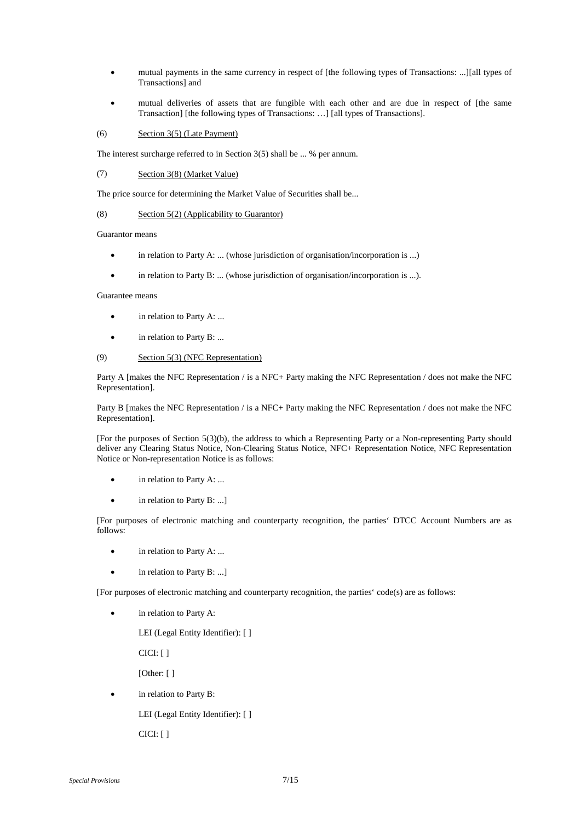- mutual payments in the same currency in respect of [the following types of Transactions: ...][all types of Transactions] and
- mutual deliveries of assets that are fungible with each other and are due in respect of [the same Transaction] [the following types of Transactions: …] [all types of Transactions].

# (6) Section 3(5) (Late Payment)

The interest surcharge referred to in Section 3(5) shall be ... % per annum.

### (7) Section 3(8) (Market Value)

The price source for determining the Market Value of Securities shall be...

### (8) Section 5(2) (Applicability to Guarantor)

Guarantor means

- in relation to Party A: ... (whose jurisdiction of organisation/incorporation is ...)
- in relation to Party B: ... (whose jurisdiction of organisation/incorporation is ...).

### Guarantee means

- in relation to Party A: ...
- in relation to Party B: ...

### (9) Section 5(3) (NFC Representation)

Party A [makes the NFC Representation / is a NFC+ Party making the NFC Representation / does not make the NFC Representation].

Party B [makes the NFC Representation / is a NFC+ Party making the NFC Representation / does not make the NFC Representation].

[For the purposes of Section 5(3)(b), the address to which a Representing Party or a Non-representing Party should deliver any Clearing Status Notice, Non-Clearing Status Notice, NFC+ Representation Notice, NFC Representation Notice or Non-representation Notice is as follows:

- in relation to Party A: ...
- in relation to Party B: ...]

[For purposes of electronic matching and counterparty recognition, the parties' DTCC Account Numbers are as follows:

- in relation to Party A: ...
- in relation to Party B: ...]

[For purposes of electronic matching and counterparty recognition, the parties' code(s) are as follows:

in relation to Party A:

LEI (Legal Entity Identifier): [ ]

CICI: [ ]

[Other: [ ]

- in relation to Party B:
	- LEI (Legal Entity Identifier): [ ]

CICI: [ ]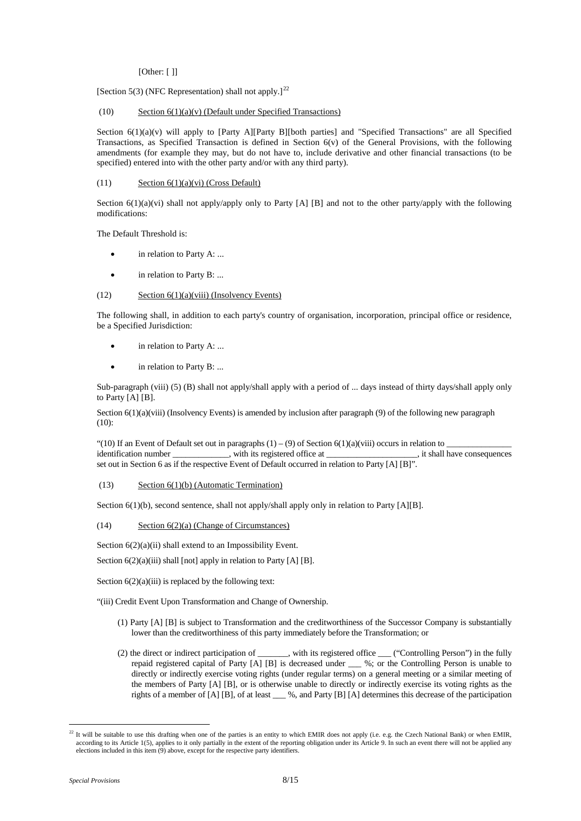[Other: [ ]]

[Section 5(3) (NFC Representation) shall not apply.]<sup>[22](#page-7-0)</sup>

# (10) Section  $6(1)(a)(v)$  (Default under Specified Transactions)

Section 6(1)(a)(v) will apply to [Party A][Party B][both parties] and "Specified Transactions" are all Specified Transactions, as Specified Transaction is defined in Section 6(v) of the General Provisions, with the following amendments (for example they may, but do not have to, include derivative and other financial transactions (to be specified) entered into with the other party and/or with any third party).

# (11) Section  $6(1)(a)(vi)$  (Cross Default)

Section  $6(1)(a)(vi)$  shall not apply/apply only to Party [A] [B] and not to the other party/apply with the following modifications:

The Default Threshold is:

- in relation to Party A: ...
- in relation to Party B: ...

# (12) Section 6(1)(a)(viii) (Insolvency Events)

The following shall, in addition to each party's country of organisation, incorporation, principal office or residence, be a Specified Jurisdiction:

- in relation to Party A: ...
- in relation to Party B: ...

Sub-paragraph (viii) (5) (B) shall not apply/shall apply with a period of ... days instead of thirty days/shall apply only to Party [A] [B].

Section 6(1)(a)(viii) (Insolvency Events) is amended by inclusion after paragraph (9) of the following new paragraph (10):

"(10) If an Event of Default set out in paragraphs (1) – (9) of Section 6(1)(a)(viii) occurs in relation to \_\_\_\_\_\_\_\_\_\_\_\_\_\_\_ identification number \_\_\_\_\_\_\_\_\_\_\_\_, with its registered office at \_ set out in Section 6 as if the respective Event of Default occurred in relation to Party [A] [B]".

# (13) Section 6(1)(b) (Automatic Termination)

Section 6(1)(b), second sentence, shall not apply/shall apply only in relation to Party [A][B].

# (14) Section 6(2)(a) (Change of Circumstances)

Section  $6(2)(a)(ii)$  shall extend to an Impossibility Event.

Section  $6(2)(a)(iii)$  shall [not] apply in relation to Party [A] [B].

Section  $6(2)(a)(iii)$  is replaced by the following text:

"(iii) Credit Event Upon Transformation and Change of Ownership.

- (1) Party [A] [B] is subject to Transformation and the creditworthiness of the Successor Company is substantially lower than the creditworthiness of this party immediately before the Transformation; or
- (2) the direct or indirect participation of \_\_\_\_\_\_\_, with its registered office \_\_\_ ("Controlling Person") in the fully repaid registered capital of Party [A] [B] is decreased under \_\_\_ %; or the Controlling Person is unable to directly or indirectly exercise voting rights (under regular terms) on a general meeting or a similar meeting of the members of Party [A] [B], or is otherwise unable to directly or indirectly exercise its voting rights as the rights of a member of [A] [B], of at least \_\_\_ %, and Party [B] [A] determines this decrease of the participation

<span id="page-7-0"></span><sup>—&</sup>lt;br><sup>22</sup> It will be suitable to use this drafting when one of the parties is an entity to which EMIR does not apply (i.e. e.g. the Czech National Bank) or when EMIR, according to its Article 1(5), applies to it only partially in the extent of the reporting obligation under its Article 9. In such an event there will not be applied any elections included in this item (9) above, except for the respective party identifiers.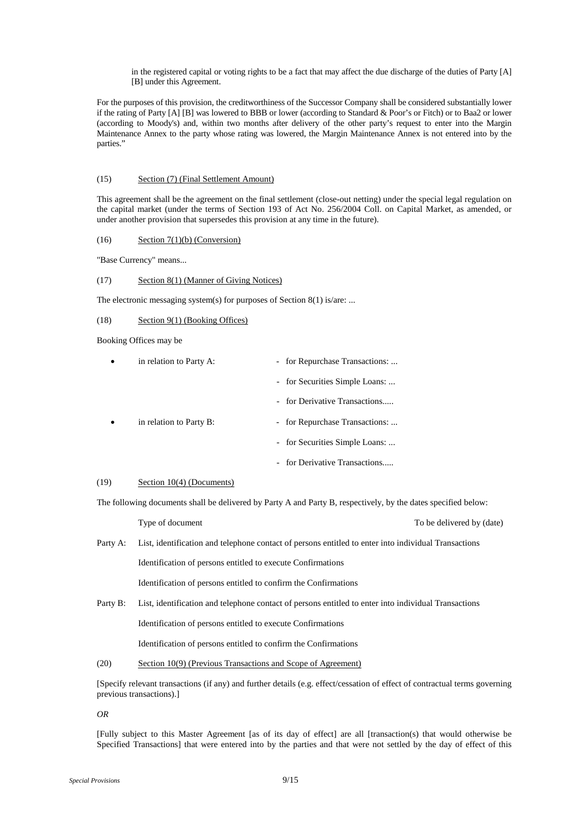in the registered capital or voting rights to be a fact that may affect the due discharge of the duties of Party [A] [B] under this Agreement.

For the purposes of this provision, the creditworthiness of the Successor Company shall be considered substantially lower if the rating of Party [A] [B] was lowered to BBB or lower (according to Standard & Poor's or Fitch) or to Baa2 or lower (according to Moody's) and, within two months after delivery of the other party's request to enter into the Margin Maintenance Annex to the party whose rating was lowered, the Margin Maintenance Annex is not entered into by the parties."

# (15) Section (7) (Final Settlement Amount)

This agreement shall be the agreement on the final settlement (close-out netting) under the special legal regulation on the capital market (under the terms of Section 193 of Act No. 256/2004 Coll. on Capital Market, as amended, or under another provision that supersedes this provision at any time in the future).

### (16) Section  $7(1)(b)$  (Conversion)

"Base Currency" means...

# (17) Section 8(1) (Manner of Giving Notices)

The electronic messaging system(s) for purposes of Section 8(1) is/are: ...

### (18) Section 9(1) (Booking Offices)

Booking Offices may be

| in relation to Party A: | - for Repurchase Transactions: |
|-------------------------|--------------------------------|
|                         | - for Securities Simple Loans: |
|                         | - for Derivative Transactions  |
| in relation to Party B: | - for Repurchase Transactions: |
|                         | - for Securities Simple Loans: |
|                         | - for Derivative Transactions  |

# $(19)$  Section 10(4) (Documents)

The following documents shall be delivered by Party A and Party B, respectively, by the dates specified below:

Type of document To be delivered by (date)

Party A: List, identification and telephone contact of persons entitled to enter into individual Transactions

Identification of persons entitled to execute Confirmations

Identification of persons entitled to confirm the Confirmations

Party B: List, identification and telephone contact of persons entitled to enter into individual Transactions

Identification of persons entitled to execute Confirmations

Identification of persons entitled to confirm the Confirmations

(20) Section 10(9) (Previous Transactions and Scope of Agreement)

[Specify relevant transactions (if any) and further details (e.g. effect/cessation of effect of contractual terms governing previous transactions).]

*OR*

[Fully subject to this Master Agreement [as of its day of effect] are all [transaction(s) that would otherwise be Specified Transactions] that were entered into by the parties and that were not settled by the day of effect of this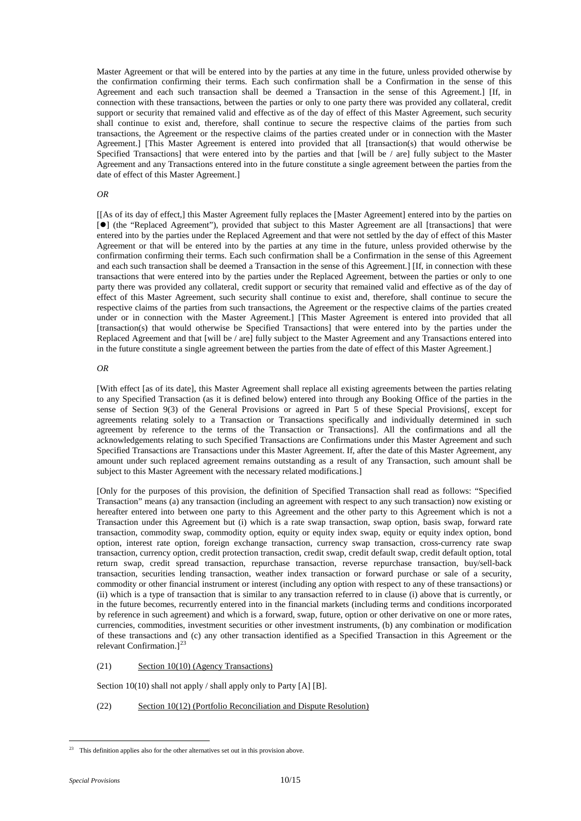Master Agreement or that will be entered into by the parties at any time in the future, unless provided otherwise by the confirmation confirming their terms. Each such confirmation shall be a Confirmation in the sense of this Agreement and each such transaction shall be deemed a Transaction in the sense of this Agreement.] [If, in connection with these transactions, between the parties or only to one party there was provided any collateral, credit support or security that remained valid and effective as of the day of effect of this Master Agreement, such security shall continue to exist and, therefore, shall continue to secure the respective claims of the parties from such transactions, the Agreement or the respective claims of the parties created under or in connection with the Master Agreement.] [This Master Agreement is entered into provided that all [transaction(s) that would otherwise be Specified Transactions] that were entered into by the parties and that [will be / are] fully subject to the Master Agreement and any Transactions entered into in the future constitute a single agreement between the parties from the date of effect of this Master Agreement.]

# *OR*

[[As of its day of effect,] this Master Agreement fully replaces the [Master Agreement] entered into by the parties on [ $\bullet$ ] (the "Replaced Agreement"), provided that subject to this Master Agreement are all [transactions] that were entered into by the parties under the Replaced Agreement and that were not settled by the day of effect of this Master Agreement or that will be entered into by the parties at any time in the future, unless provided otherwise by the confirmation confirming their terms. Each such confirmation shall be a Confirmation in the sense of this Agreement and each such transaction shall be deemed a Transaction in the sense of this Agreement.] [If, in connection with these transactions that were entered into by the parties under the Replaced Agreement, between the parties or only to one party there was provided any collateral, credit support or security that remained valid and effective as of the day of effect of this Master Agreement, such security shall continue to exist and, therefore, shall continue to secure the respective claims of the parties from such transactions, the Agreement or the respective claims of the parties created under or in connection with the Master Agreement.] [This Master Agreement is entered into provided that all [transaction(s) that would otherwise be Specified Transactions] that were entered into by the parties under the Replaced Agreement and that [will be / are] fully subject to the Master Agreement and any Transactions entered into in the future constitute a single agreement between the parties from the date of effect of this Master Agreement.]

### *OR*

[With effect [as of its date], this Master Agreement shall replace all existing agreements between the parties relating to any Specified Transaction (as it is defined below) entered into through any Booking Office of the parties in the sense of Section 9(3) of the General Provisions or agreed in Part 5 of these Special Provisions[, except for agreements relating solely to a Transaction or Transactions specifically and individually determined in such agreement by reference to the terms of the Transaction or Transactions]. All the confirmations and all the acknowledgements relating to such Specified Transactions are Confirmations under this Master Agreement and such Specified Transactions are Transactions under this Master Agreement. If, after the date of this Master Agreement, any amount under such replaced agreement remains outstanding as a result of any Transaction, such amount shall be subject to this Master Agreement with the necessary related modifications.]

[Only for the purposes of this provision, the definition of Specified Transaction shall read as follows: "Specified Transaction" means (a) any transaction (including an agreement with respect to any such transaction) now existing or hereafter entered into between one party to this Agreement and the other party to this Agreement which is not a Transaction under this Agreement but (i) which is a rate swap transaction, swap option, basis swap, forward rate transaction, commodity swap, commodity option, equity or equity index swap, equity or equity index option, bond option, interest rate option, foreign exchange transaction, currency swap transaction, cross-currency rate swap transaction, currency option, credit protection transaction, credit swap, credit default swap, credit default option, total return swap, credit spread transaction, repurchase transaction, reverse repurchase transaction, buy/sell-back transaction, securities lending transaction, weather index transaction or forward purchase or sale of a security, commodity or other financial instrument or interest (including any option with respect to any of these transactions) or (ii) which is a type of transaction that is similar to any transaction referred to in clause (i) above that is currently, or in the future becomes, recurrently entered into in the financial markets (including terms and conditions incorporated by reference in such agreement) and which is a forward, swap, future, option or other derivative on one or more rates, currencies, commodities, investment securities or other investment instruments, (b) any combination or modification of these transactions and (c) any other transaction identified as a Specified Transaction in this Agreement or the relevant Confirmation.<sup>[[23](#page-9-0)</sup>

# (21) Section 10(10) (Agency Transactions)

Section 10(10) shall not apply / shall apply only to Party [A] [B].

(22) Section 10(12) (Portfolio Reconciliation and Dispute Resolution)

<span id="page-9-0"></span> $\frac{23}{23}$  This definition applies also for the other alternatives set out in this provision above.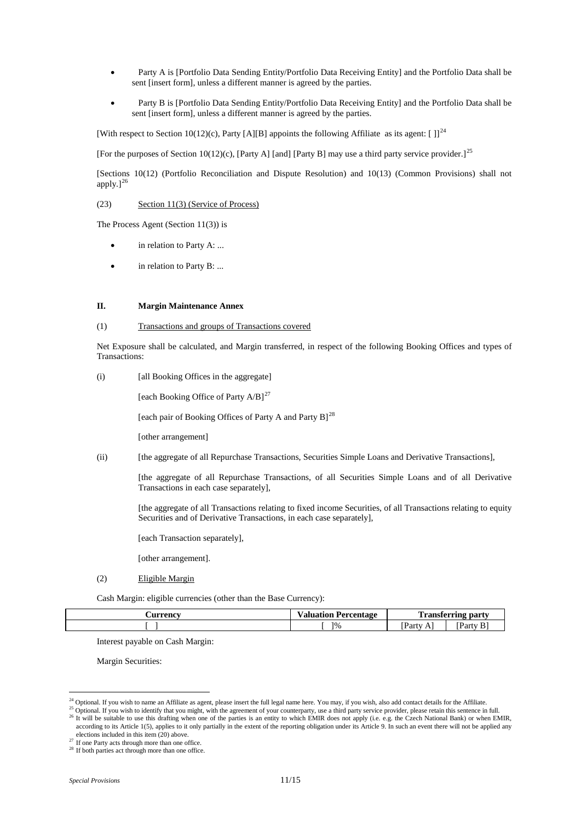- Party A is [Portfolio Data Sending Entity/Portfolio Data Receiving Entity] and the Portfolio Data shall be sent [insert form], unless a different manner is agreed by the parties.
- Party B is [Portfolio Data Sending Entity/Portfolio Data Receiving Entity] and the Portfolio Data shall be sent [insert form], unless a different manner is agreed by the parties.

[With respect to Section 10(12)(c), Party [A][B] appoints the following Affiliate as its agent:  $[ ] ]^{24}$  $[ ] ]^{24}$  $[ ] ]^{24}$ 

[For the purposes of Section 10(12)(c), [Party A] [and] [Party B] may use a third party service provider.]<sup>[25](#page-10-1)</sup>

[Sections 10(12) (Portfolio Reconciliation and Dispute Resolution) and 10(13) (Common Provisions) shall not apply.] $^{26}$  $^{26}$  $^{26}$ 

(23) Section 11(3) (Service of Process)

The Process Agent (Section 11(3)) is

- in relation to Party A: ...
- in relation to Party B: ...

### **II. Margin Maintenance Annex**

(1) Transactions and groups of Transactions covered

Net Exposure shall be calculated, and Margin transferred, in respect of the following Booking Offices and types of Transactions:

(i) [all Booking Offices in the aggregate]

[each Booking Office of Party  $A/B$ ]<sup>[27](#page-10-3)</sup>

[each pair of Booking Offices of Party A and Party B]<sup>[28](#page-10-4)</sup>

[other arrangement]

(ii) [the aggregate of all Repurchase Transactions, Securities Simple Loans and Derivative Transactions],

[the aggregate of all Repurchase Transactions, of all Securities Simple Loans and of all Derivative Transactions in each case separately],

[the aggregate of all Transactions relating to fixed income Securities, of all Transactions relating to equity Securities and of Derivative Transactions, in each case separately],

[each Transaction separately],

[other arrangement].

(2) Eligible Margin

Cash Margin: eligible currencies (other than the Base Currency):

| Aurrency      | Percentage      | --                  |                        |
|---------------|-----------------|---------------------|------------------------|
| . <b></b> . . | Valuation       | l ransferring party |                        |
|               | 10 <sub>0</sub> | m<br>Party<br>. .   | $\sim$<br>Party<br>. . |

Interest payable on Cash Margin:

Margin Securities:

<span id="page-10-0"></span><sup>&</sup>lt;sup>24</sup> Optional. If you wish to name an Affiliate as agent, please insert the full legal name here. You may, if you wish, also add contact details for the Affiliate.

<span id="page-10-2"></span><span id="page-10-1"></span><sup>&</sup>lt;sup>25</sup> Optional. If you wish to identify that you might, with the agreement of your counterparty, use a third party service provider, please retain this sentence in full. <sup>26</sup> It will be suitable to use this drafting when one of the parties is an entity to which EMIR does not apply (i.e. e.g. the Czech National Bank) or when EMIR, according to its Article 1(5), applies to it only partially in the extent of the reporting obligation under its Article 9. In such an event there will not be applied any

elections included in this item (20) above.

<span id="page-10-3"></span><sup>&</sup>lt;sup>27</sup> If one Party acts through more than one office.

<span id="page-10-4"></span><sup>&</sup>lt;sup>28</sup> If both parties act through more than one office.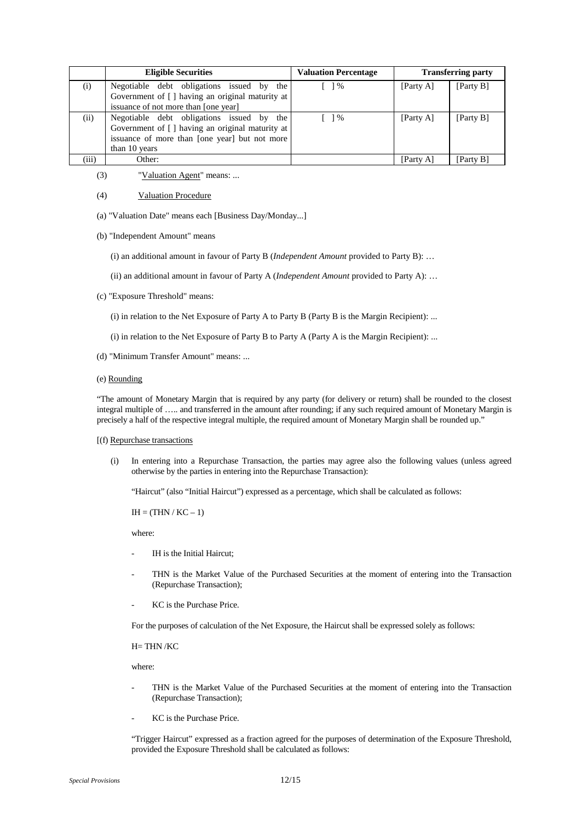|       | <b>Eligible Securities</b>                       | <b>Valuation Percentage</b>       |           | <b>Transferring party</b> |
|-------|--------------------------------------------------|-----------------------------------|-----------|---------------------------|
| (i)   | Negotiable debt obligations issued by the        | $\begin{bmatrix} \end{bmatrix}$ % | [Party A] | [Party B]                 |
|       | Government of [] having an original maturity at  |                                   |           |                           |
|       | issuance of not more than [one year]             |                                   |           |                           |
| (ii)  | Negotiable debt obligations issued by the        | $\lceil$ 1%                       | [Party A] | [Party B]                 |
|       | Government of [ ] having an original maturity at |                                   |           |                           |
|       | issuance of more than [one year] but not more    |                                   |           |                           |
|       | than 10 years                                    |                                   |           |                           |
| (iii) | Other:                                           |                                   | [Party A] | Party B1                  |

(3) "Valuation Agent" means: ...

# (4) Valuation Procedure

- (a) "Valuation Date" means each [Business Day/Monday...]
- (b) "Independent Amount" means
	- (i) an additional amount in favour of Party B (*Independent Amount* provided to Party B): …
	- (ii) an additional amount in favour of Party A (*Independent Amount* provided to Party A): …
- (c) "Exposure Threshold" means:
	- (i) in relation to the Net Exposure of Party A to Party B (Party B is the Margin Recipient): ...
	- (i) in relation to the Net Exposure of Party B to Party A (Party A is the Margin Recipient): ...
- (d) "Minimum Transfer Amount" means: ...
- (e) Rounding

"The amount of Monetary Margin that is required by any party (for delivery or return) shall be rounded to the closest integral multiple of ….. and transferred in the amount after rounding; if any such required amount of Monetary Margin is precisely a half of the respective integral multiple, the required amount of Monetary Margin shall be rounded up."

### [(f) Repurchase transactions

(i) In entering into a Repurchase Transaction, the parties may agree also the following values (unless agreed otherwise by the parties in entering into the Repurchase Transaction):

"Haircut" (also "Initial Haircut") expressed as a percentage, which shall be calculated as follows:

 $IH = (THN/KC - 1)$ 

where:

- IH is the Initial Haircut:
- THN is the Market Value of the Purchased Securities at the moment of entering into the Transaction (Repurchase Transaction);
- KC is the Purchase Price.

For the purposes of calculation of the Net Exposure, the Haircut shall be expressed solely as follows:

H= THN /KC

where:

- THN is the Market Value of the Purchased Securities at the moment of entering into the Transaction (Repurchase Transaction);
- KC is the Purchase Price.

"Trigger Haircut" expressed as a fraction agreed for the purposes of determination of the Exposure Threshold, provided the Exposure Threshold shall be calculated as follows: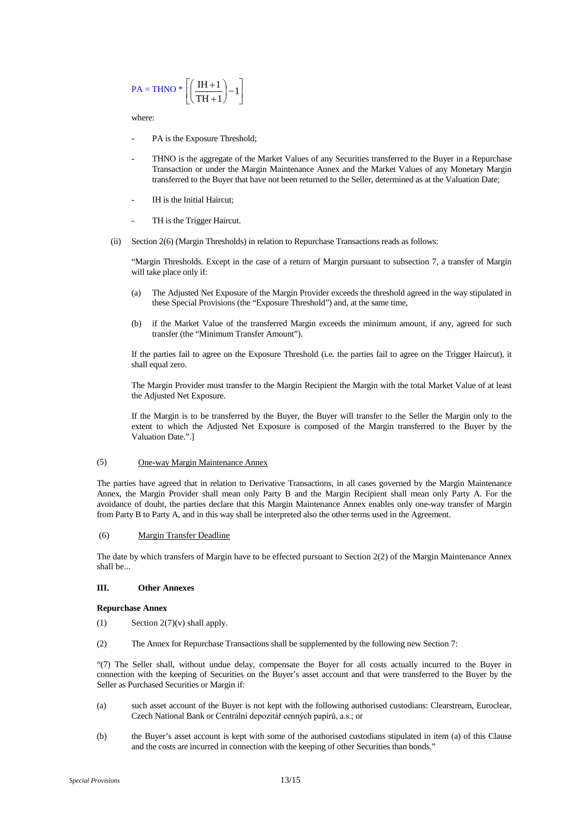$$
PA = THNO * \left[ \left( \frac{IH + 1}{TH + 1} \right) - 1 \right]
$$

where:

- PA is the Exposure Threshold;
- THNO is the aggregate of the Market Values of any Securities transferred to the Buyer in a Repurchase Transaction or under the Margin Maintenance Annex and the Market Values of any Monetary Margin transferred to the Buyer that have not been returned to the Seller, determined as at the Valuation Date;
- IH is the Initial Haircut;
- TH is the Trigger Haircut.
- (ii) Section 2(6) (Margin Thresholds) in relation to Repurchase Transactions reads as follows:

"Margin Thresholds. Except in the case of a return of Margin pursuant to subsection 7, a transfer of Margin will take place only if:

- (a) The Adjusted Net Exposure of the Margin Provider exceeds the threshold agreed in the way stipulated in these Special Provisions (the "Exposure Threshold") and, at the same time,
- (b) if the Market Value of the transferred Margin exceeds the minimum amount, if any, agreed for such transfer (the "Minimum Transfer Amount").

If the parties fail to agree on the Exposure Threshold (i.e. the parties fail to agree on the Trigger Haircut), it shall equal zero.

The Margin Provider must transfer to the Margin Recipient the Margin with the total Market Value of at least the Adjusted Net Exposure.

If the Margin is to be transferred by the Buyer, the Buyer will transfer to the Seller the Margin only to the extent to which the Adjusted Net Exposure is composed of the Margin transferred to the Buyer by the Valuation Date.".]

### (5) One-way Margin Maintenance Annex

The parties have agreed that in relation to Derivative Transactions, in all cases governed by the Margin Maintenance Annex, the Margin Provider shall mean only Party B and the Margin Recipient shall mean only Party A. For the avoidance of doubt, the parties declare that this Margin Maintenance Annex enables only one-way transfer of Margin from Party B to Party A, and in this way shall be interpreted also the other terms used in the Agreement.

### (6) Margin Transfer Deadline

The date by which transfers of Margin have to be effected pursuant to Section 2(2) of the Margin Maintenance Annex shall be...

### **III. Other Annexes**

### **Repurchase Annex**

- (1) Section  $2(7)(v)$  shall apply.
- (2) The Annex for Repurchase Transactions shall be supplemented by the following new Section 7:

"(7) The Seller shall, without undue delay, compensate the Buyer for all costs actually incurred to the Buyer in connection with the keeping of Securities on the Buyer's asset account and that were transferred to the Buyer by the Seller as Purchased Securities or Margin if:

- (a) such asset account of the Buyer is not kept with the following authorised custodians: Clearstream, Euroclear, Czech National Bank or Centrální depozitář cenných papírů, a.s.; or
- (b) the Buyer's asset account is kept with some of the authorised custodians stipulated in item (a) of this Clause and the costs are incurred in connection with the keeping of other Securities than bonds."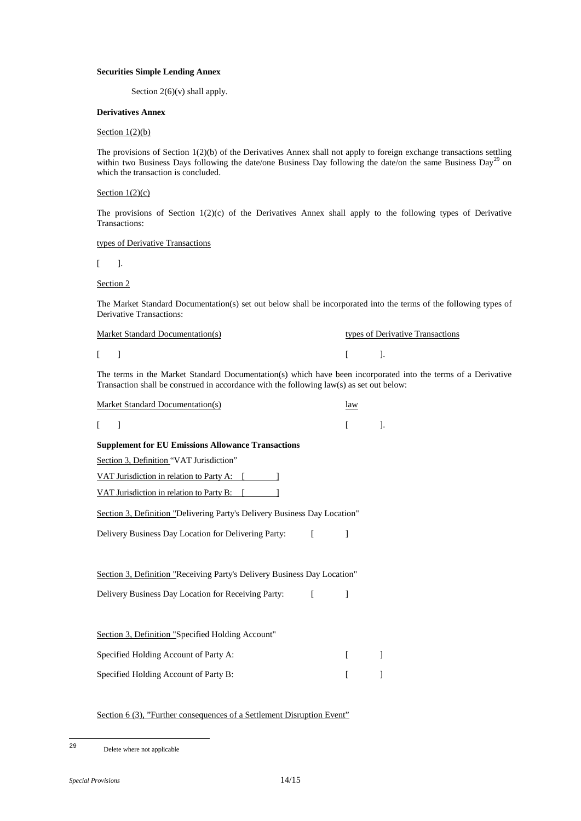# **Securities Simple Lending Annex**

Section  $2(6)(v)$  shall apply.

# **Derivatives Annex**

# Section  $1(2)(b)$

The provisions of Section 1(2)(b) of the Derivatives Annex shall not apply to foreign exchange transactions settling within two Business Days following the date/one Business Day following the date/on the same Business Day<sup>[29](#page-13-0)</sup> on which the transaction is concluded.

# Section  $1(2)(c)$

The provisions of Section 1(2)(c) of the Derivatives Annex shall apply to the following types of Derivative Transactions:

### types of Derivative Transactions

 $[$   $]$ .

Section 2

The Market Standard Documentation(s) set out below shall be incorporated into the terms of the following types of Derivative Transactions:

| Market Standard Documentation(s)  | types of Derivative Transactions |  |  |  |
|-----------------------------------|----------------------------------|--|--|--|
| $\begin{bmatrix} 1 \end{bmatrix}$ |                                  |  |  |  |

The terms in the Market Standard Documentation(s) which have been incorporated into the terms of a Derivative Transaction shall be construed in accordance with the following law(s) as set out below:

| <b>Market Standard Documentation(s)</b>                                   | law |         |  |  |  |
|---------------------------------------------------------------------------|-----|---------|--|--|--|
| 1                                                                         |     | $\cdot$ |  |  |  |
| <b>Supplement for EU Emissions Allowance Transactions</b>                 |     |         |  |  |  |
| Section 3, Definition "VAT Jurisdiction"                                  |     |         |  |  |  |
| VAT Jurisdiction in relation to Party A: [                                |     |         |  |  |  |
| VAT Jurisdiction in relation to Party B:                                  |     |         |  |  |  |
| Section 3, Definition "Delivering Party's Delivery Business Day Location" |     |         |  |  |  |
| Delivery Business Day Location for Delivering Party: [                    | 1   |         |  |  |  |
|                                                                           |     |         |  |  |  |
| Section 3, Definition "Receiving Party's Delivery Business Day Location"  |     |         |  |  |  |
| Delivery Business Day Location for Receiving Party:<br>$\sqrt{2}$         | 1   |         |  |  |  |
|                                                                           |     |         |  |  |  |
| Section 3, Definition "Specified Holding Account"                         |     |         |  |  |  |
| Specified Holding Account of Party A:                                     |     |         |  |  |  |
| Specified Holding Account of Party B:                                     |     |         |  |  |  |

# Section 6 (3), "Further consequences of a Settlement Disruption Event"

<span id="page-13-0"></span>Delete where not applicable  $29$